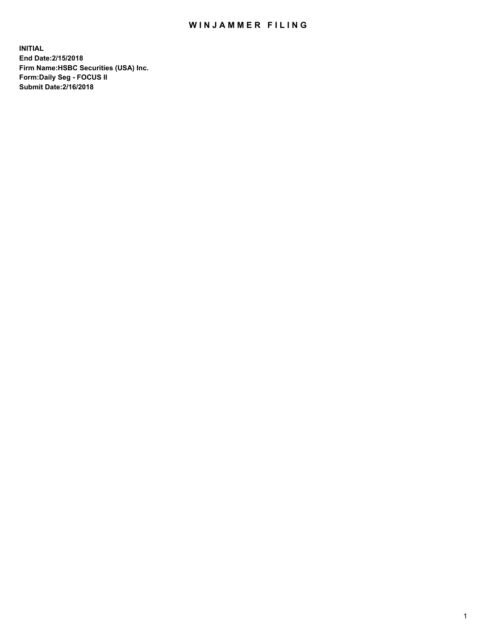## WIN JAMMER FILING

**INITIAL End Date:2/15/2018 Firm Name:HSBC Securities (USA) Inc. Form:Daily Seg - FOCUS II Submit Date:2/16/2018**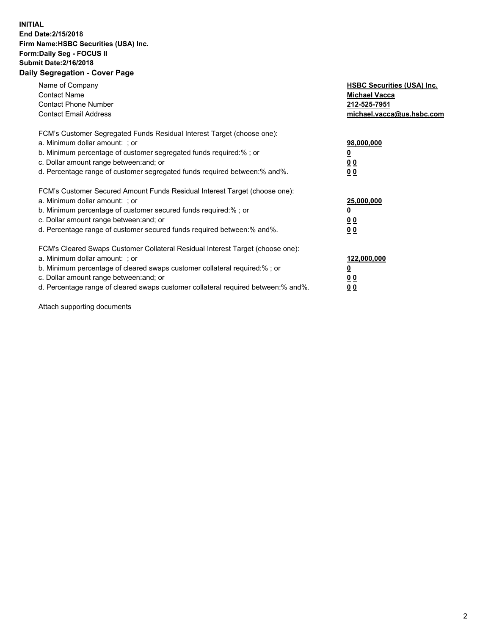## **INITIAL End Date:2/15/2018 Firm Name:HSBC Securities (USA) Inc. Form:Daily Seg - FOCUS II Submit Date:2/16/2018 Daily Segregation - Cover Page**

| Name of Company<br><b>Contact Name</b><br><b>Contact Phone Number</b><br><b>Contact Email Address</b>                                                                                                                                                                                                                         | <b>HSBC Securities (USA) Inc.</b><br><b>Michael Vacca</b><br>212-525-7951<br>michael.vacca@us.hsbc.com |
|-------------------------------------------------------------------------------------------------------------------------------------------------------------------------------------------------------------------------------------------------------------------------------------------------------------------------------|--------------------------------------------------------------------------------------------------------|
| FCM's Customer Segregated Funds Residual Interest Target (choose one):<br>a. Minimum dollar amount: ; or<br>b. Minimum percentage of customer segregated funds required:%; or<br>c. Dollar amount range between: and; or<br>d. Percentage range of customer segregated funds required between: % and %.                       | 98,000,000<br><u>0</u><br><u>00</u><br><u>00</u>                                                       |
| FCM's Customer Secured Amount Funds Residual Interest Target (choose one):<br>a. Minimum dollar amount: ; or<br>b. Minimum percentage of customer secured funds required:%; or<br>c. Dollar amount range between: and; or<br>d. Percentage range of customer secured funds required between: % and %.                         | 25,000,000<br><u>0</u><br><u>00</u><br>00                                                              |
| FCM's Cleared Swaps Customer Collateral Residual Interest Target (choose one):<br>a. Minimum dollar amount: ; or<br>b. Minimum percentage of cleared swaps customer collateral required:%; or<br>c. Dollar amount range between: and; or<br>d. Percentage range of cleared swaps customer collateral required between:% and%. | 122,000,000<br><u>0</u><br><u>00</u><br><u>00</u>                                                      |

Attach supporting documents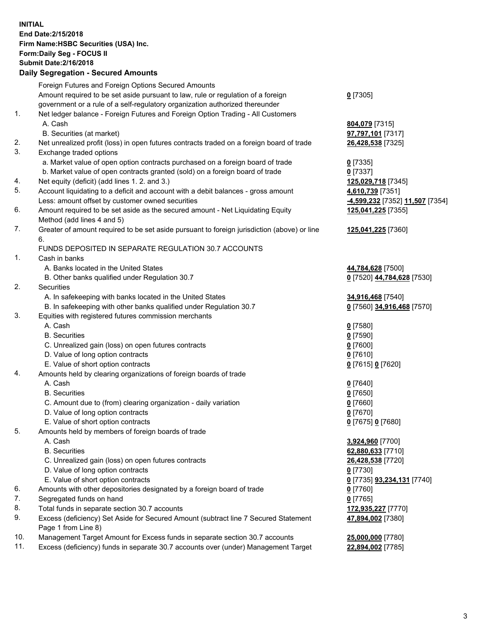**INITIAL End Date:2/15/2018 Firm Name:HSBC Securities (USA) Inc. Form:Daily Seg - FOCUS II Submit Date:2/16/2018 Daily Segregation - Secured Amounts**

Foreign Futures and Foreign Options Secured Amounts Amount required to be set aside pursuant to law, rule or regulation of a foreign government or a rule of a self-regulatory organization authorized thereunder **0** [7305] 1. Net ledger balance - Foreign Futures and Foreign Option Trading - All Customers A. Cash **804,079** [7315] B. Securities (at market) **97,797,101** [7317] 2. Net unrealized profit (loss) in open futures contracts traded on a foreign board of trade **26,428,538** [7325] 3. Exchange traded options a. Market value of open option contracts purchased on a foreign board of trade **0** [7335] b. Market value of open contracts granted (sold) on a foreign board of trade **0** [7337] 4. Net equity (deficit) (add lines 1. 2. and 3.) **125,029,718** [7345] 5. Account liquidating to a deficit and account with a debit balances - gross amount **4,610,739** [7351] Less: amount offset by customer owned securities **-4,599,232** [7352] **11,507** [7354] 6. Amount required to be set aside as the secured amount - Net Liquidating Equity Method (add lines 4 and 5) **125,041,225** [7355] 7. Greater of amount required to be set aside pursuant to foreign jurisdiction (above) or line 6. **125,041,225** [7360] FUNDS DEPOSITED IN SEPARATE REGULATION 30.7 ACCOUNTS 1. Cash in banks A. Banks located in the United States **44,784,628** [7500] B. Other banks qualified under Regulation 30.7 **0** [7520] **44,784,628** [7530] 2. Securities A. In safekeeping with banks located in the United States **34,916,468** [7540] B. In safekeeping with other banks qualified under Regulation 30.7 **0** [7560] **34,916,468** [7570] 3. Equities with registered futures commission merchants A. Cash **0** [7580] B. Securities **0** [7590] C. Unrealized gain (loss) on open futures contracts **0** [7600] D. Value of long option contracts **0** [7610] E. Value of short option contracts **0** [7615] **0** [7620] 4. Amounts held by clearing organizations of foreign boards of trade A. Cash **0** [7640] B. Securities **0** [7650] C. Amount due to (from) clearing organization - daily variation **0** [7660] D. Value of long option contracts **0** [7670] E. Value of short option contracts **0** [7675] **0** [7680] 5. Amounts held by members of foreign boards of trade A. Cash **3,924,960** [7700] B. Securities **62,880,633** [7710] C. Unrealized gain (loss) on open futures contracts **26,428,538** [7720] D. Value of long option contracts **0** [7730] E. Value of short option contracts **0** [7735] **93,234,131** [7740] 6. Amounts with other depositories designated by a foreign board of trade **0** [7760] 7. Segregated funds on hand **0** [7765] 8. Total funds in separate section 30.7 accounts **172,935,227** [7770] 9. Excess (deficiency) Set Aside for Secured Amount (subtract line 7 Secured Statement Page 1 from Line 8) **47,894,002** [7380] 10. Management Target Amount for Excess funds in separate section 30.7 accounts **25,000,000** [7780] 11. Excess (deficiency) funds in separate 30.7 accounts over (under) Management Target **22,894,002** [7785]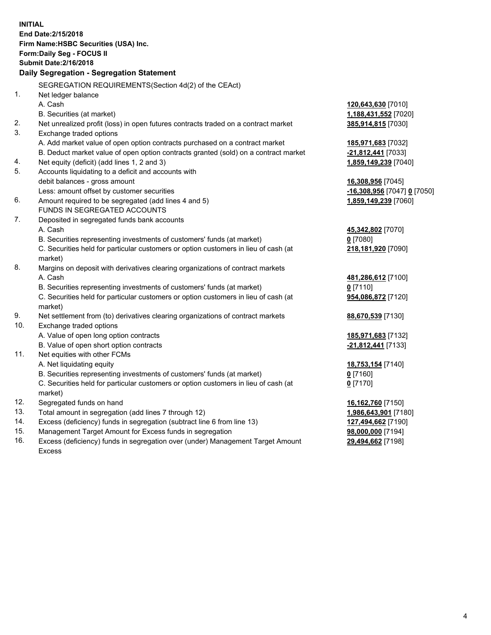**INITIAL End Date:2/15/2018 Firm Name:HSBC Securities (USA) Inc. Form:Daily Seg - FOCUS II Submit Date:2/16/2018 Daily Segregation - Segregation Statement** SEGREGATION REQUIREMENTS(Section 4d(2) of the CEAct) 1. Net ledger balance A. Cash **120,643,630** [7010] B. Securities (at market) **1,188,431,552** [7020] 2. Net unrealized profit (loss) in open futures contracts traded on a contract market **385,914,815** [7030] 3. Exchange traded options A. Add market value of open option contracts purchased on a contract market **185,971,683** [7032] B. Deduct market value of open option contracts granted (sold) on a contract market **-21,812,441** [7033] 4. Net equity (deficit) (add lines 1, 2 and 3) **1,859,149,239** [7040] 5. Accounts liquidating to a deficit and accounts with debit balances - gross amount **16,308,956** [7045] Less: amount offset by customer securities **-16,308,956** [7047] **0** [7050] 6. Amount required to be segregated (add lines 4 and 5) **1,859,149,239** [7060] FUNDS IN SEGREGATED ACCOUNTS 7. Deposited in segregated funds bank accounts A. Cash **45,342,802** [7070] B. Securities representing investments of customers' funds (at market) **0** [7080] C. Securities held for particular customers or option customers in lieu of cash (at market) **218,181,920** [7090] 8. Margins on deposit with derivatives clearing organizations of contract markets A. Cash **481,286,612** [7100] B. Securities representing investments of customers' funds (at market) **0** [7110] C. Securities held for particular customers or option customers in lieu of cash (at market) **954,086,872** [7120] 9. Net settlement from (to) derivatives clearing organizations of contract markets **88,670,539** [7130] 10. Exchange traded options A. Value of open long option contracts **185,971,683** [7132] B. Value of open short option contracts **-21,812,441** [7133] 11. Net equities with other FCMs A. Net liquidating equity **18,753,154** [7140] B. Securities representing investments of customers' funds (at market) **0** [7160] C. Securities held for particular customers or option customers in lieu of cash (at market) **0** [7170] 12. Segregated funds on hand **16,162,760** [7150] 13. Total amount in segregation (add lines 7 through 12) **1,986,643,901** [7180] 14. Excess (deficiency) funds in segregation (subtract line 6 from line 13) **127,494,662** [7190] 15. Management Target Amount for Excess funds in segregation **98,000,000** [7194]

16. Excess (deficiency) funds in segregation over (under) Management Target Amount Excess

**29,494,662** [7198]